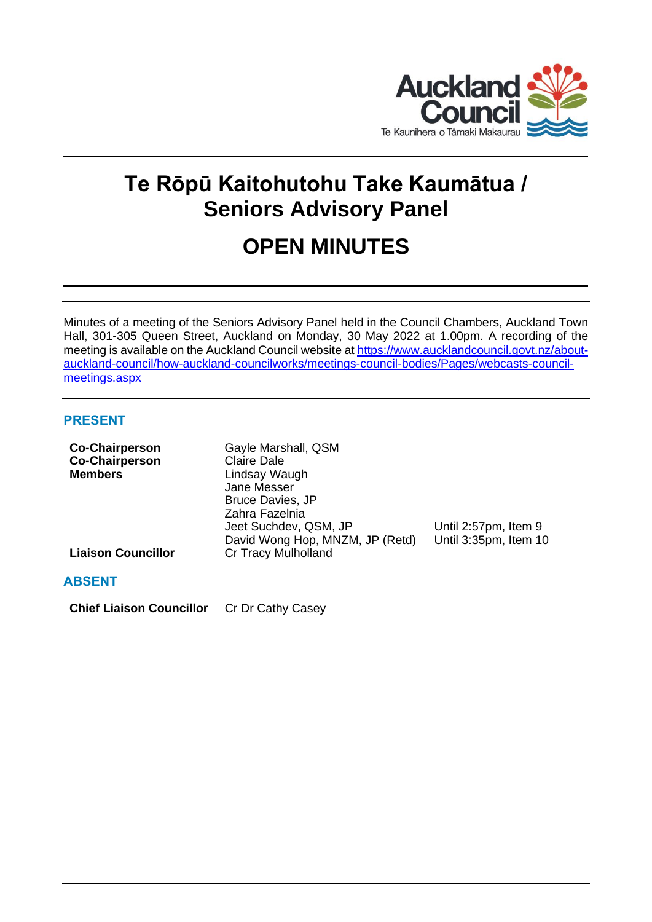

# **Te Rōpū Kaitohutohu Take Kaumātua / Seniors Advisory Panel**

# **OPEN MINUTES**

Minutes of a meeting of the Seniors Advisory Panel held in the Council Chambers, Auckland Town Hall, 301-305 Queen Street, Auckland on Monday, 30 May 2022 at 1.00pm. A recording of the meeting is available on the Auckland Council website at [https://www.aucklandcouncil.govt.nz/about](https://www.aucklandcouncil.govt.nz/about-auckland-council/how-auckland-councilworks/meetings-council-bodies/Pages/webcasts-council-meetings.aspx)[auckland-council/how-auckland-councilworks/meetings-council-bodies/Pages/webcasts-council](https://www.aucklandcouncil.govt.nz/about-auckland-council/how-auckland-councilworks/meetings-council-bodies/Pages/webcasts-council-meetings.aspx)[meetings.aspx](https://www.aucklandcouncil.govt.nz/about-auckland-council/how-auckland-councilworks/meetings-council-bodies/Pages/webcasts-council-meetings.aspx)

# **PRESENT**

| <b>Co-Chairperson</b><br><b>Co-Chairperson</b><br><b>Members</b> | Gayle Marshall, QSM<br><b>Claire Dale</b><br>Lindsay Waugh<br>Jane Messer<br><b>Bruce Davies, JP</b>     |                                               |
|------------------------------------------------------------------|----------------------------------------------------------------------------------------------------------|-----------------------------------------------|
| <b>Liaison Councillor</b>                                        | Zahra Fazelnia<br>Jeet Suchdev, QSM, JP<br>David Wong Hop, MNZM, JP (Retd)<br><b>Cr Tracy Mulholland</b> | Until 2:57pm, Item 9<br>Until 3:35pm, Item 10 |
| <b>ABSENT</b>                                                    |                                                                                                          |                                               |

**Chief Liaison Councillor** Cr Dr Cathy Casey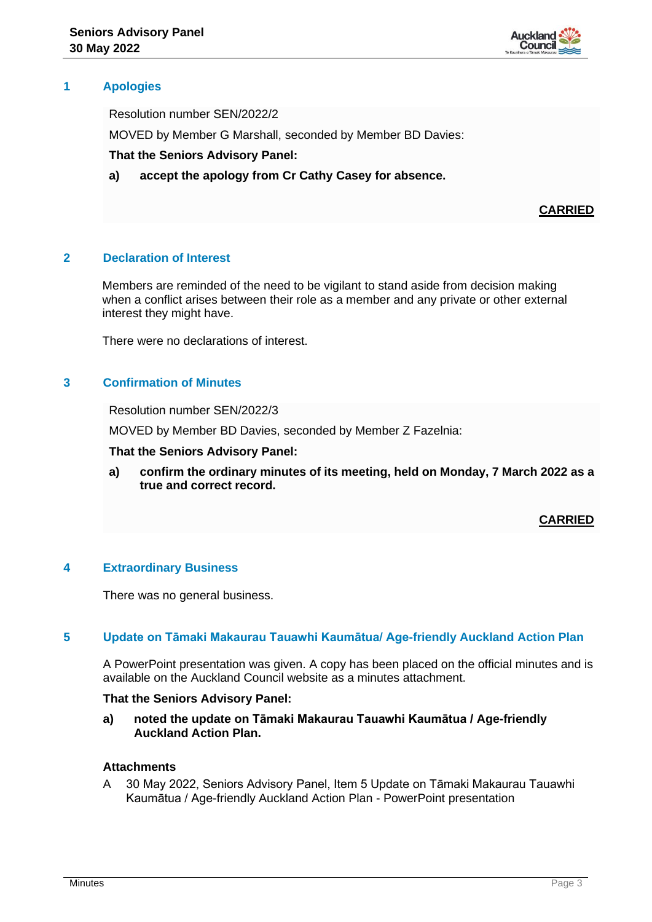

# **1 Apologies**

Resolution number SEN/2022/2

MOVED by Member G Marshall, seconded by Member BD Davies:

## **That the Seniors Advisory Panel:**

**a) accept the apology from Cr Cathy Casey for absence.**

**CARRIED**

## **2 Declaration of Interest**

Members are reminded of the need to be vigilant to stand aside from decision making when a conflict arises between their role as a member and any private or other external interest they might have.

There were no declarations of interest.

## **3 Confirmation of Minutes**

Resolution number SEN/2022/3

MOVED by Member BD Davies, seconded by Member Z Fazelnia:

#### **That the Seniors Advisory Panel:**

**a) confirm the ordinary minutes of its meeting, held on Monday, 7 March 2022 as a true and correct record.**

**CARRIED**

### **4 Extraordinary Business**

There was no general business.

### **5 Update on Tāmaki Makaurau Tauawhi Kaumātua/ Age-friendly Auckland Action Plan**

A PowerPoint presentation was given. A copy has been placed on the official minutes and is available on the Auckland Council website as a minutes attachment.

### **That the Seniors Advisory Panel:**

**a) noted the update on Tāmaki Makaurau Tauawhi Kaumātua / Age-friendly Auckland Action Plan.**

# **Attachments**

A 30 May 2022, Seniors Advisory Panel, Item 5 Update on Tāmaki Makaurau Tauawhi Kaumātua / Age-friendly Auckland Action Plan - PowerPoint presentation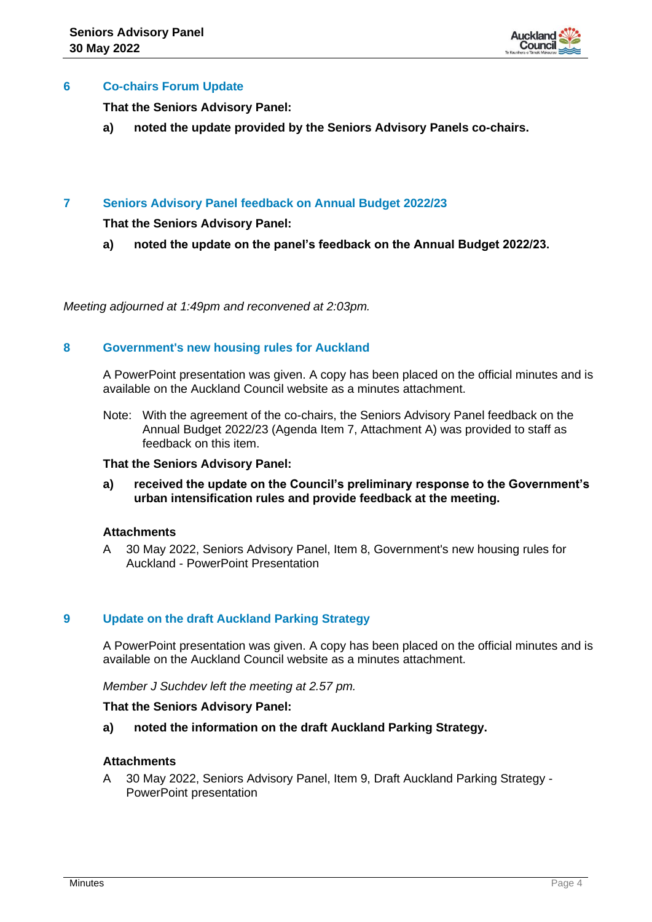

## **6 Co-chairs Forum Update**

**That the Seniors Advisory Panel:**

**a) noted the update provided by the Seniors Advisory Panels co-chairs.**

## **7 Seniors Advisory Panel feedback on Annual Budget 2022/23**

**That the Seniors Advisory Panel:**

**a) noted the update on the panel's feedback on the Annual Budget 2022/23.**

*Meeting adjourned at 1:49pm and reconvened at 2:03pm.*

## **8 Government's new housing rules for Auckland**

A PowerPoint presentation was given. A copy has been placed on the official minutes and is available on the Auckland Council website as a minutes attachment.

Note: With the agreement of the co-chairs, the Seniors Advisory Panel feedback on the Annual Budget 2022/23 (Agenda Item 7, Attachment A) was provided to staff as feedback on this item.

### **That the Seniors Advisory Panel:**

**a) received the update on the Council's preliminary response to the Government's urban intensification rules and provide feedback at the meeting.**

### **Attachments**

A 30 May 2022, Seniors Advisory Panel, Item 8, Government's new housing rules for Auckland - PowerPoint Presentation

# **9 Update on the draft Auckland Parking Strategy**

A PowerPoint presentation was given. A copy has been placed on the official minutes and is available on the Auckland Council website as a minutes attachment.

*Member J Suchdev left the meeting at 2.57 pm.*

#### **That the Seniors Advisory Panel:**

**a) noted the information on the draft Auckland Parking Strategy.**

## **Attachments**

A 30 May 2022, Seniors Advisory Panel, Item 9, Draft Auckland Parking Strategy - PowerPoint presentation